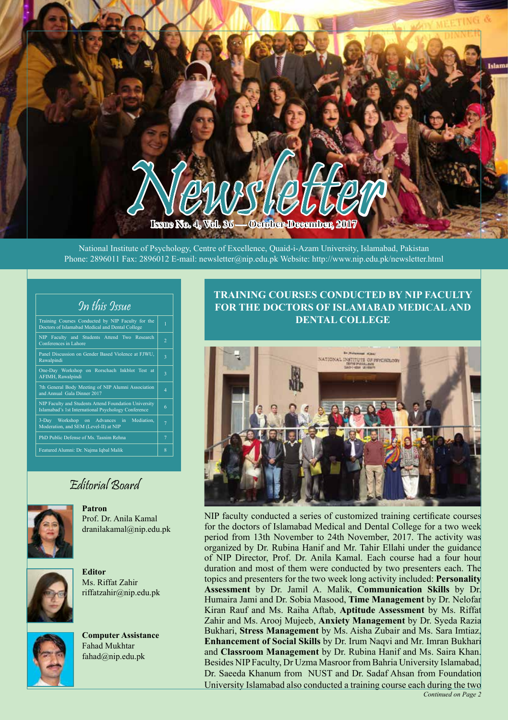**Issue No. 4, Vol. 36 — October-December, 2017** News CONSERVER

National Institute of Psychology, Centre of Excellence, Quaid-i-Azam University, Islamabad, Pakistan Phone: 2896011 Fax: 2896012 E-mail: newsletter@nip.edu.pk Website: http://www.nip.edu.pk/newsletter.html

# In this Issue

| Training Courses Conducted by NIP Faculty for the<br>Doctors of Islamabad Medical and Dental College         | 1              |
|--------------------------------------------------------------------------------------------------------------|----------------|
| NIP Faculty and Students Attend Two Research<br>Conferences in Lahore                                        | $\overline{2}$ |
| Panel Discussion on Gender Based Violence at FJWU,<br>Rawalpindi                                             | 3              |
| One-Day Workshop on Rorschach Inkblot Test at<br>AFIMH, Rawalpindi                                           | 3              |
| 7th General Body Meeting of NIP Alumni Association<br>and Annual Gala Dinner 2017                            | $\overline{A}$ |
| NIP Faculty and Students Attend Foundation University<br>Islamabad's 1st International Psychology Conference | 6              |
| 3-Day Workshop on Advances in<br>Mediation.<br>Moderation, and SEM (Level-II) at NIP                         | 7              |
| PhD Public Defense of Ms. Tasnim Rehna                                                                       | $\overline{7}$ |
| Featured Alumni: Dr. Najma Iqbal Malik                                                                       | 8              |

# Editorial Board



**Patron** Prof. Dr. Anila Kamal dranilakamal@nip.edu.pk



**Editor** Ms. Riffat Zahir riffatzahir@nip.edu.pk



**Computer Assistance** Fahad Mukhtar fahad@nip.edu.pk

## **TRAINING COURSES CONDUCTED BY NIP FACULTY FOR THE DOCTORS OF ISLAMABAD MEDICAL AND DENTAL COLLEGE**



NIP faculty conducted a series of customized training certificate courses for the doctors of Islamabad Medical and Dental College for a two week period from 13th November to 24th November, 2017. The activity was organized by Dr. Rubina Hanif and Mr. Tahir Ellahi under the guidance of NIP Director, Prof. Dr. Anila Kamal. Each course had a four hour duration and most of them were conducted by two presenters each. The topics and presenters for the two week long activity included: **Personality Assessment** by Dr. Jamil A. Malik, **Communication Skills** by Dr. Humaira Jami and Dr. Sobia Masood, **Time Management** by Dr. Nelofar Kiran Rauf and Ms. Raiha Aftab, **Aptitude Assessment** by Ms. Riffat Zahir and Ms. Arooj Mujeeb, **Anxiety Management** by Dr. Syeda Razia Bukhari, **Stress Management** by Ms. Aisha Zubair and Ms. Sara Imtiaz, **Enhancement of Social Skills** by Dr. Irum Naqvi and Mr. Imran Bukhari and **Classroom Management** by Dr. Rubina Hanif and Ms. Saira Khan. Besides NIP Faculty, Dr Uzma Masroor from Bahria University Islamabad, Dr. Saeeda Khanum from NUST and Dr. Sadaf Ahsan from Foundation University Islamabad also conducted a training course each during the two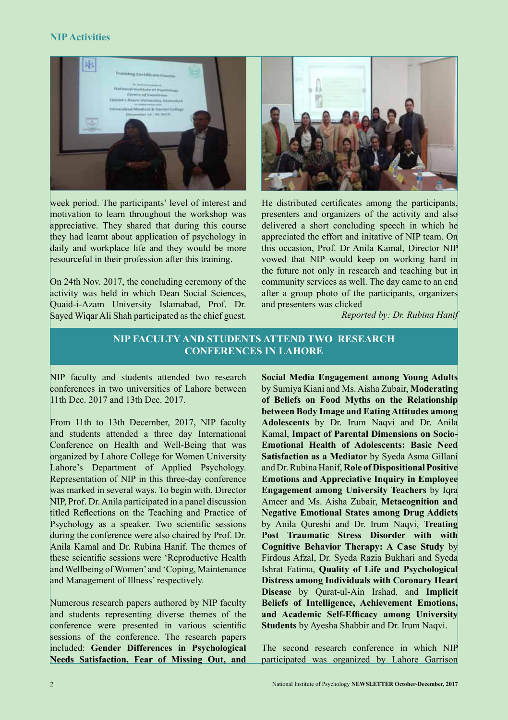#### **NIP Activities**



week period. The participants' level of interest and motivation to learn throughout the workshop was appreciative. They shared that during this course they had learnt about application of psychology in daily and workplace life and they would be more resourceful in their profession after this training.

On 24th Nov. 2017, the concluding ceremony of the activity was held in which Dean Social Sciences, Quaid-i-Azam University Islamabad, Prof. Dr. Sayed Wiqar Ali Shah participated as the chief guest.



He distributed certificates among the participants, presenters and organizers of the activity and also delivered a short concluding speech in which he appreciated the effort and initative of NIP team. On this occasion, Prof. Dr Anila Kamal, Director NIP vowed that NIP would keep on working hard in the future not only in research and teaching but in community services as well. The day came to an end after a group photo of the participants, organizers and presenters was clicked

*Reported by: Dr. Rubina Hanif*

# **NIP FACULTY AND STUDENTS ATTEND TWO RESEARCH CONFERENCES IN LAHORE**

NIP faculty and students attended two research conferences in two universities of Lahore between 11th Dec. 2017 and 13th Dec. 2017.

From 11th to 13th December, 2017, NIP faculty and students attended a three day International Conference on Health and Well-Being that was organized by Lahore College for Women University Lahore's Department of Applied Psychology. Representation of NIP in this three-day conference was marked in several ways. To begin with, Director NIP, Prof. Dr. Anila participated in a panel discussion titled Reflections on the Teaching and Practice of Psychology as a speaker. Two scientific sessions during the conference were also chaired by Prof. Dr. Anila Kamal and Dr. Rubina Hanif. The themes of these scientific sessions were 'Reproductive Health and Wellbeing of Women' and 'Coping, Maintenance and Management of Illness' respectively.

Numerous research papers authored by NIP faculty and students representing diverse themes of the conference were presented in various scientific sessions of the conference. The research papers included: **Gender Differences in Psychological Needs Satisfaction, Fear of Missing Out, and** 

**Social Media Engagement among Young Adults**  by Sumiya Kiani and Ms. Aisha Zubair, **Moderating of Beliefs on Food Myths on the Relationship between Body Image and Eating Attitudes among Adolescents** by Dr. Irum Naqvi and Dr. Anila Kamal, **Impact of Parental Dimensions on Socio-Emotional Health of Adolescents: Basic Need Satisfaction as a Mediator** by Syeda Asma Gillani and Dr. Rubina Hanif, **Role of Dispositional Positive Emotions and Appreciative Inquiry in Employee Engagement among University Teachers** by Iqra Ameer and Ms. Aisha Zubair, **Metacognition and Negative Emotional States among Drug Addicts**  by Anila Qureshi and Dr. Irum Naqvi, **Treating Post Traumatic Stress Disorder with with Cognitive Behavior Therapy: A Case Study** by Firdous Afzal, Dr. Syeda Razia Bukhari and Syeda Ishrat Fatima, **Quality of Life and Psychological Distress among Individuals with Coronary Heart Disease** by Qurat-ul-Ain Irshad, and **Implicit Beliefs of Intelligence, Achievement Emotions, and Academic Self-Efficacy among University Students** by Ayesha Shabbir and Dr. Irum Naqvi.

The second research conference in which NIP participated was organized by Lahore Garrison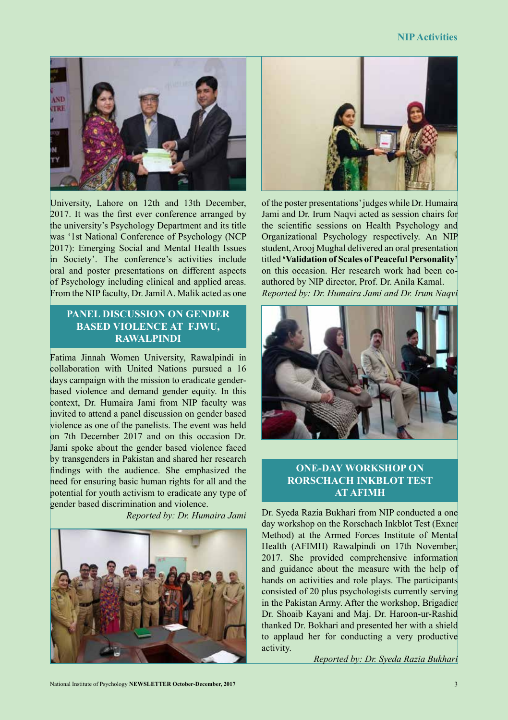

University, Lahore on 12th and 13th December, 2017. It was the first ever conference arranged by the university's Psychology Department and its title was '1st National Conference of Psychology (NCP 2017): Emerging Social and Mental Health Issues in Society'. The conference's activities include oral and poster presentations on different aspects of Psychology including clinical and applied areas. From the NIP faculty, Dr. Jamil A. Malik acted as one

## **PANEL DISCUSSION ON GENDER BASED VIOLENCE AT FJWU, RAWALPINDI**

Fatima Jinnah Women University, Rawalpindi in collaboration with United Nations pursued a 16 days campaign with the mission to eradicate genderbased violence and demand gender equity. In this context, Dr. Humaira Jami from NIP faculty was invited to attend a panel discussion on gender based violence as one of the panelists. The event was held on 7th December 2017 and on this occasion Dr. Jami spoke about the gender based violence faced by transgenders in Pakistan and shared her research findings with the audience. She emphasized the need for ensuring basic human rights for all and the potential for youth activism to eradicate any type of gender based discrimination and violence.





of the poster presentations' judges while Dr. Humaira Jami and Dr. Irum Naqvi acted as session chairs for the scientific sessions on Health Psychology and Organizational Psychology respectively. An NIP student, Arooj Mughal delivered an oral presentation titled **'Validation of Scales of Peaceful Personality'** on this occasion. Her research work had been coauthored by NIP director, Prof. Dr. Anila Kamal. *Reported by: Dr. Humaira Jami and Dr. Irum Naqvi*



# **ONE-DAY WORKSHOP ON RORSCHACH INKBLOT TEST AT AFIMH**

*Reported by: Dr. Humaira Jami* Dr. Syeda Razia Bukhari from NIP conducted a one day workshop on the Rorschach Inkblot Test (Exner Method) at the Armed Forces Institute of Mental Health (AFIMH) Rawalpindi on 17th November, 2017. She provided comprehensive information and guidance about the measure with the help of hands on activities and role plays. The participants consisted of 20 plus psychologists currently serving in the Pakistan Army. After the workshop, Brigadier Dr. Shoaib Kayani and Maj. Dr. Haroon-ur-Rashid thanked Dr. Bokhari and presented her with a shield to applaud her for conducting a very productive activity.

*Reported by: Dr. Syeda Razia Bukhari*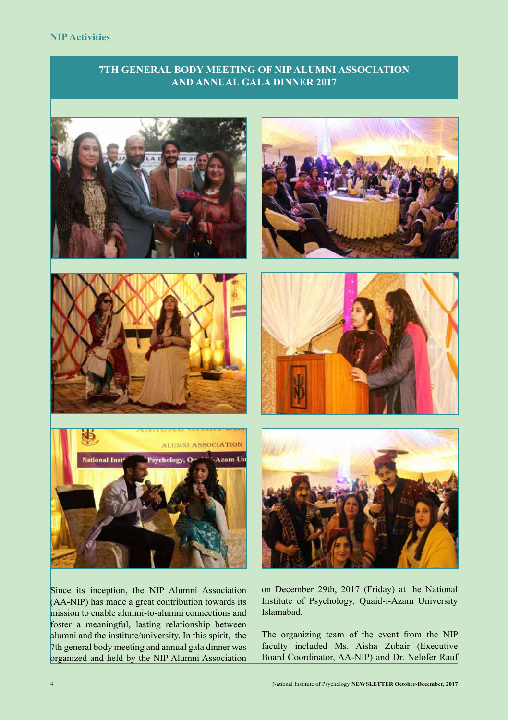#### **NIP Activities**

## **7TH GENERAL BODY MEETING OF NIP ALUMNI ASSOCIATION AND ANNUAL GALA DINNER 2017**







Since its inception, the NIP Alumni Association (AA-NIP) has made a great contribution towards its mission to enable alumni-to-alumni connections and foster a meaningful, lasting relationship between alumni and the institute/university. In this spirit, the 7th general body meeting and annual gala dinner was organized and held by the NIP Alumni Association







on December 29th, 2017 (Friday) at the National Institute of Psychology, Quaid-i-Azam University Islamabad.

The organizing team of the event from the NIP faculty included Ms. Aisha Zubair (Executive Board Coordinator, AA-NIP) and Dr. Nelofer Rauf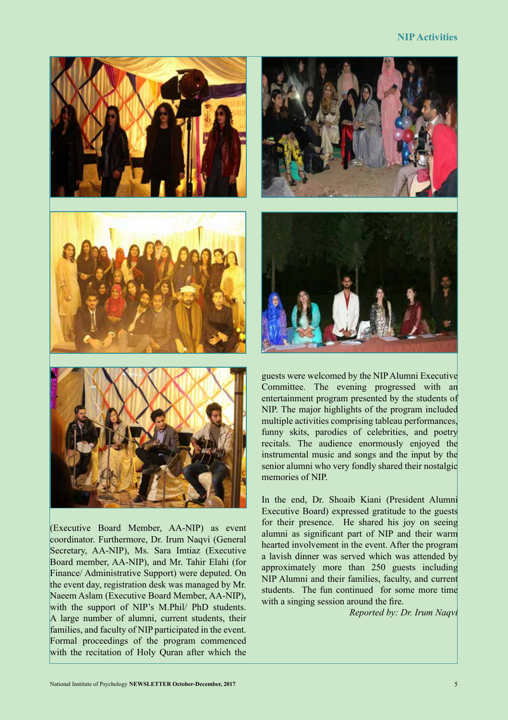#### **NIP Activities**



(Executive Board Member, AA-NIP) as event coordinator. Furthermore, Dr. Irum Naqvi (General Secretary, AA-NIP), Ms. Sara Imtiaz (Executive Board member, AA-NIP), and Mr. Tahir Elahi (for Finance/ Administrative Support) were deputed. On the event day, registration desk was managed by Mr. Naeem Aslam (Executive Board Member, AA-NIP), with the support of NIP's M.Phil/ PhD students. A large number of alumni, current students, their families, and faculty of NIP participated in the event. Formal proceedings of the program commenced with the recitation of Holy Quran after which the



guests were welcomed by the NIP Alumni Executive Committee. The evening progressed with an entertainment program presented by the students of NIP. The major highlights of the program included multiple activities comprising tableau performances, funny skits, parodies of celebrities, and poetry recitals. The audience enormously enjoyed the instrumental music and songs and the input by the senior alumni who very fondly shared their nostalgic memories of NIP.

In the end, Dr. Shoaib Kiani (President Alumni Executive Board) expressed gratitude to the guests for their presence. He shared his joy on seeing alumni as significant part of NIP and their warm hearted involvement in the event. After the program a lavish dinner was served which was attended by approximately more than 250 guests including NIP Alumni and their families, faculty, and current students. The fun continued for some more time with a singing session around the fire.

*Reported by: Dr. Irum Naqvi*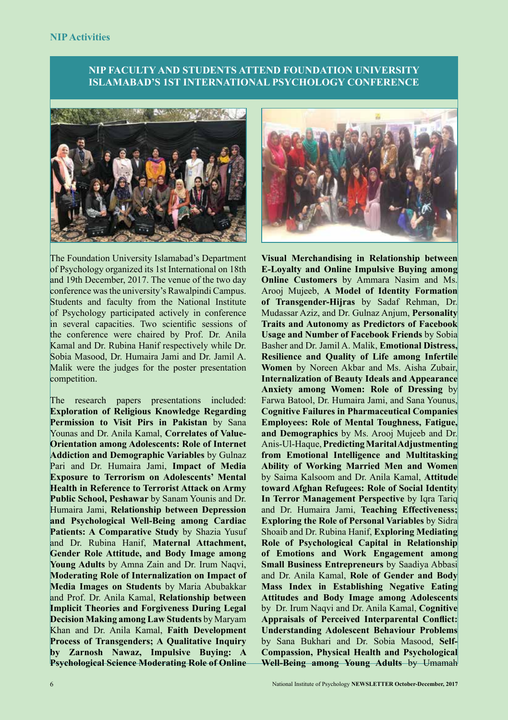# **NIP FACULTY AND STUDENTS ATTEND FOUNDATION UNIVERSITY ISLAMABAD'S 1ST INTERNATIONAL PSYCHOLOGY CONFERENCE**





The Foundation University Islamabad's Department of Psychology organized its 1st International on 18th and 19th December, 2017. The venue of the two day conference was the university's Rawalpindi Campus. Students and faculty from the National Institute of Psychology participated actively in conference in several capacities. Two scientific sessions of the conference were chaired by Prof. Dr. Anila Kamal and Dr. Rubina Hanif respectively while Dr. Sobia Masood, Dr. Humaira Jami and Dr. Jamil A. Malik were the judges for the poster presentation competition.

The research papers presentations included: **Exploration of Religious Knowledge Regarding Permission to Visit Pirs in Pakistan** by Sana Younas and Dr. Anila Kamal, **Correlates of Value-Orientation among Adolescents: Role of Internet Addiction and Demographic Variables** by Gulnaz Pari and Dr. Humaira Jami, **Impact of Media Exposure to Terrorism on Adolescents' Mental Health in Reference to Terrorist Attack on Army Public School, Peshawar** by Sanam Younis and Dr. Humaira Jami, **Relationship between Depression and Psychological Well-Being among Cardiac Patients: A Comparative Study** by Shazia Yusuf and Dr. Rubina Hanif, **Maternal Attachment, Gender Role Attitude, and Body Image among Young Adults** by Amna Zain and Dr. Irum Naqvi, **Moderating Role of Internalization on Impact of Media Images on Students** by Maria Abubakkar and Prof. Dr. Anila Kamal, **Relationship between Implicit Theories and Forgiveness During Legal Decision Making among Law Students** by Maryam Khan and Dr. Anila Kamal, **Faith Development Process of Transgenders; A Qualitative Inquiry by Zarnosh Nawaz, Impulsive Buying: A Psychological Science Moderating Role of Online** 

**Visual Merchandising in Relationship between E-Loyalty and Online Impulsive Buying among Online Customers** by Ammara Nasim and Ms. Arooj Mujeeb, **A Model of Identity Formation of Transgender-Hijras** by Sadaf Rehman, Dr. Mudassar Aziz, and Dr. Gulnaz Anjum, **Personality Traits and Autonomy as Predictors of Facebook Usage and Number of Facebook Friends** by Sobia Basher and Dr. Jamil A. Malik, **Emotional Distress, Resilience and Quality of Life among Infertile Women** by Noreen Akbar and Ms. Aisha Zubair, **Internalization of Beauty Ideals and Appearance Anxiety among Women: Role of Dressing** by Farwa Batool, Dr. Humaira Jami, and Sana Younus, **Cognitive Failures in Pharmaceutical Companies Employees: Role of Mental Toughness, Fatigue, and Demographics** by Ms. Arooj Mujeeb and Dr. Anis-Ul-Haque, **Predicting Marital Adjustmenting from Emotional Intelligence and Multitasking Ability of Working Married Men and Women**  by Saima Kalsoom and Dr. Anila Kamal, **Attitude toward Afghan Refugees: Role of Social Identity In Terror Management Perspective** by Iqra Tariq and Dr. Humaira Jami, **Teaching Effectiveness; Exploring the Role of Personal Variables** by Sidra Shoaib and Dr. Rubina Hanif, **Exploring Mediating Role of Psychological Capital in Relationship of Emotions and Work Engagement among Small Business Entrepreneurs** by Saadiya Abbasi and Dr. Anila Kamal, **Role of Gender and Body Mass Index in Establishing Negative Eating Attitudes and Body Image among Adolescents** by Dr. Irum Naqvi and Dr. Anila Kamal, **Cognitive Appraisals of Perceived Interparental Conflict: Understanding Adolescent Behaviour Problems**  by Sana Bukhari and Dr. Sobia Masood, **Self-Compassion, Physical Health and Psychological Well-Being among Young Adults** by Umamah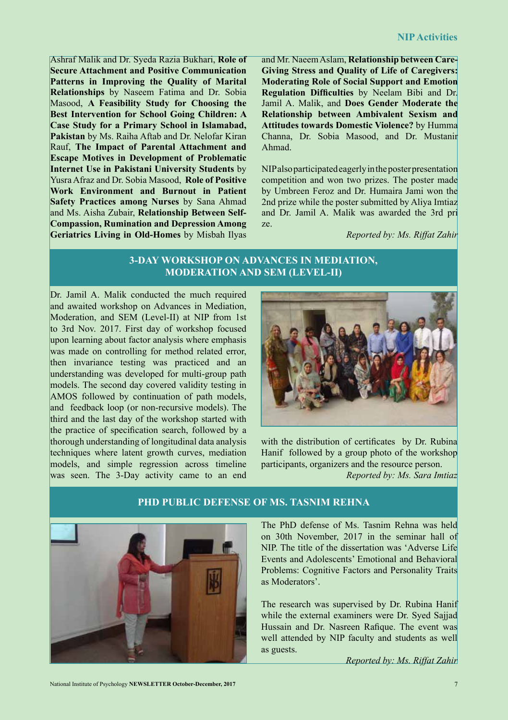Ashraf Malik and Dr. Syeda Razia Bukhari, **Role of Secure Attachment and Positive Communication Patterns in Improving the Quality of Marital Relationships** by Naseem Fatima and Dr. Sobia Masood, **A Feasibility Study for Choosing the Best Intervention for School Going Children: A Case Study for a Primary School in Islamabad, Pakistan** by Ms. Raiha Aftab and Dr. Nelofar Kiran Rauf, **The Impact of Parental Attachment and Escape Motives in Development of Problematic Internet Use in Pakistani University Students** by Yusra Afraz and Dr. Sobia Masood, **Role of Positive Work Environment and Burnout in Patient Safety Practices among Nurses** by Sana Ahmad and Ms. Aisha Zubair, **Relationship Between Self-Compassion, Rumination and Depression Among Geriatrics Living in Old-Homes** by Misbah Ilyas

and Mr. Naeem Aslam, **Relationship between Care-Giving Stress and Quality of Life of Caregivers: Moderating Role of Social Support and Emotion Regulation Difficulties** by Neelam Bibi and Dr. Jamil A. Malik, and **Does Gender Moderate the Relationship between Ambivalent Sexism and Attitudes towards Domestic Violence?** by Humma Channa, Dr. Sobia Masood, and Dr. Mustanir Ahmad.

NIP also participated eagerly in the poster presentation competition and won two prizes. The poster made by Umbreen Feroz and Dr. Humaira Jami won the 2nd prize while the poster submitted by Aliya Imtiaz and Dr. Jamil A. Malik was awarded the 3rd pri ze.

*Reported by: Ms. Riffat Zahir*

# **3-DAY WORKSHOP ON ADVANCES IN MEDIATION, MODERATION AND SEM (LEVEL-II)**

Dr. Jamil A. Malik conducted the much required and awaited workshop on Advances in Mediation, Moderation, and SEM (Level-II) at NIP from 1st to 3rd Nov. 2017. First day of workshop focused upon learning about factor analysis where emphasis was made on controlling for method related error, then invariance testing was practiced and an understanding was developed for multi-group path models. The second day covered validity testing in AMOS followed by continuation of path models, and feedback loop (or non-recursive models). The third and the last day of the workshop started with the practice of specification search, followed by a thorough understanding of longitudinal data analysis techniques where latent growth curves, mediation models, and simple regression across timeline was seen. The 3-Day activity came to an end



with the distribution of certificates by Dr. Rubina Hanif followed by a group photo of the workshop participants, organizers and the resource person. *Reported by: Ms. Sara Imtiaz*



The PhD defense of Ms. Tasnim Rehna was held on 30th November, 2017 in the seminar hall of NIP. The title of the dissertation was 'Adverse Life Events and Adolescents' Emotional and Behavioral Problems: Cognitive Factors and Personality Traits as Moderators'.

The research was supervised by Dr. Rubina Hanif while the external examiners were Dr. Syed Sajjad Hussain and Dr. Nasreen Rafique. The event was well attended by NIP faculty and students as well as guests.

*Reported by: Ms. Riffat Zahir*